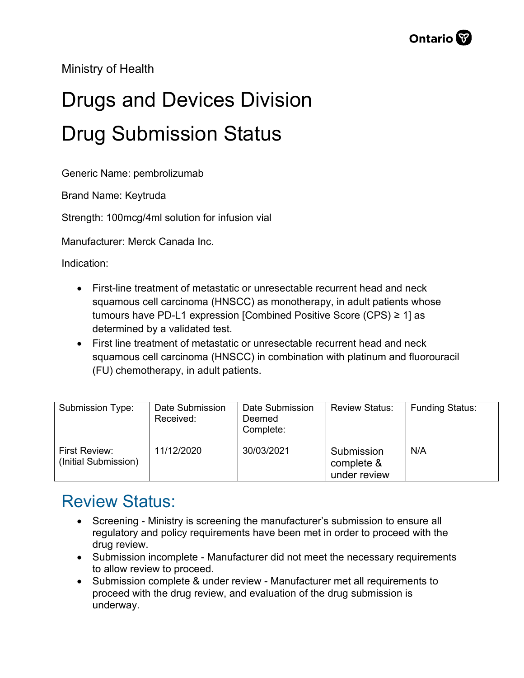Ministry of Health

## Drugs and Devices Division Drug Submission Status

Generic Name: pembrolizumab

Brand Name: Keytruda

Strength: 100mcg/4ml solution for infusion vial

Manufacturer: Merck Canada Inc.

Indication:

- First-line treatment of metastatic or unresectable recurrent head and neck squamous cell carcinoma (HNSCC) as monotherapy, in adult patients whose tumours have PD-L1 expression [Combined Positive Score (CPS) ≥ 1] as determined by a validated test.
- First line treatment of metastatic or unresectable recurrent head and neck squamous cell carcinoma (HNSCC) in combination with platinum and fluorouracil (FU) chemotherapy, in adult patients.

| Submission Type:                      | Date Submission<br>Received: | Date Submission<br>Deemed<br>Complete: | <b>Review Status:</b>                    | <b>Funding Status:</b> |
|---------------------------------------|------------------------------|----------------------------------------|------------------------------------------|------------------------|
| First Review:<br>(Initial Submission) | 11/12/2020                   | 30/03/2021                             | Submission<br>complete &<br>under review | N/A                    |

## Review Status:

- Screening Ministry is screening the manufacturer's submission to ensure all regulatory and policy requirements have been met in order to proceed with the drug review.
- Submission incomplete Manufacturer did not meet the necessary requirements to allow review to proceed.
- Submission complete & under review Manufacturer met all requirements to proceed with the drug review, and evaluation of the drug submission is underway.